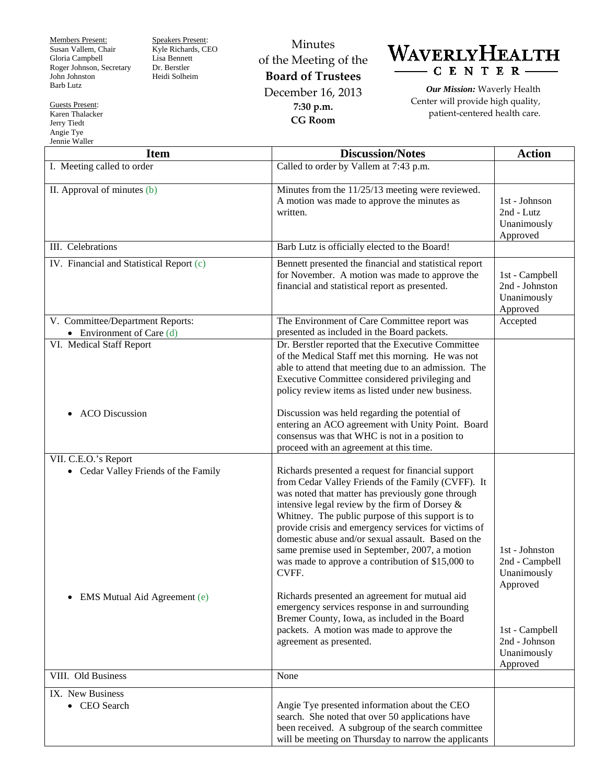Members Present: Susan Vallem, Chair Gloria Campbell Roger Johnson, Secretary John Johnston Barb Lutz

Guests Present: Karen Thalacker Jerry Tiedt

Angie Tye

Speakers Present: Kyle Richards, CEO Lisa Bennett Dr. Berstler Heidi Solheim

Minutes of the Meeting of the **Board of Trustees** December 16, 2013 **7:30 p.m. CG Room**



*Our Mission:* Waverly Health Center will provide high quality, patient-centered health care.

| Jennie Waller                                                                                |                                                                                                                                                                                                                                                                                                                                                                                                                                                                                                                                                                                                                                                                                                                                 |                                                                                                |
|----------------------------------------------------------------------------------------------|---------------------------------------------------------------------------------------------------------------------------------------------------------------------------------------------------------------------------------------------------------------------------------------------------------------------------------------------------------------------------------------------------------------------------------------------------------------------------------------------------------------------------------------------------------------------------------------------------------------------------------------------------------------------------------------------------------------------------------|------------------------------------------------------------------------------------------------|
| <b>Item</b>                                                                                  | <b>Discussion/Notes</b>                                                                                                                                                                                                                                                                                                                                                                                                                                                                                                                                                                                                                                                                                                         | <b>Action</b>                                                                                  |
| I. Meeting called to order                                                                   | Called to order by Vallem at 7:43 p.m.                                                                                                                                                                                                                                                                                                                                                                                                                                                                                                                                                                                                                                                                                          |                                                                                                |
| II. Approval of minutes (b)                                                                  | Minutes from the 11/25/13 meeting were reviewed.<br>A motion was made to approve the minutes as<br>written.                                                                                                                                                                                                                                                                                                                                                                                                                                                                                                                                                                                                                     | 1st - Johnson<br>2nd - Lutz<br>Unanimously<br>Approved                                         |
| III. Celebrations                                                                            | Barb Lutz is officially elected to the Board!                                                                                                                                                                                                                                                                                                                                                                                                                                                                                                                                                                                                                                                                                   |                                                                                                |
| IV. Financial and Statistical Report (c)                                                     | Bennett presented the financial and statistical report<br>for November. A motion was made to approve the<br>financial and statistical report as presented.                                                                                                                                                                                                                                                                                                                                                                                                                                                                                                                                                                      | 1st - Campbell<br>2nd - Johnston<br>Unanimously<br>Approved                                    |
| V. Committee/Department Reports:<br>• Environment of Care $(d)$                              | The Environment of Care Committee report was<br>presented as included in the Board packets.                                                                                                                                                                                                                                                                                                                                                                                                                                                                                                                                                                                                                                     | Accepted                                                                                       |
| VI. Medical Staff Report                                                                     | Dr. Berstler reported that the Executive Committee<br>of the Medical Staff met this morning. He was not<br>able to attend that meeting due to an admission. The<br>Executive Committee considered privileging and<br>policy review items as listed under new business.                                                                                                                                                                                                                                                                                                                                                                                                                                                          |                                                                                                |
| <b>ACO Discussion</b>                                                                        | Discussion was held regarding the potential of<br>entering an ACO agreement with Unity Point. Board<br>consensus was that WHC is not in a position to<br>proceed with an agreement at this time.                                                                                                                                                                                                                                                                                                                                                                                                                                                                                                                                |                                                                                                |
| VII. C.E.O.'s Report<br>• Cedar Valley Friends of the Family<br>EMS Mutual Aid Agreement (e) | Richards presented a request for financial support<br>from Cedar Valley Friends of the Family (CVFF). It<br>was noted that matter has previously gone through<br>intensive legal review by the firm of Dorsey &<br>Whitney. The public purpose of this support is to<br>provide crisis and emergency services for victims of<br>domestic abuse and/or sexual assault. Based on the<br>same premise used in September, 2007, a motion<br>was made to approve a contribution of \$15,000 to<br>CVFF.<br>Richards presented an agreement for mutual aid<br>emergency services response in and surrounding<br>Bremer County, Iowa, as included in the Board<br>packets. A motion was made to approve the<br>agreement as presented. | 1st - Johnston<br>2nd - Campbell<br>Unanimously<br>Approved<br>1st - Campbell<br>2nd - Johnson |
|                                                                                              |                                                                                                                                                                                                                                                                                                                                                                                                                                                                                                                                                                                                                                                                                                                                 | Unanimously<br>Approved                                                                        |
| VIII. Old Business                                                                           | None                                                                                                                                                                                                                                                                                                                                                                                                                                                                                                                                                                                                                                                                                                                            |                                                                                                |
| IX. New Business<br>• CEO Search                                                             | Angie Tye presented information about the CEO<br>search. She noted that over 50 applications have<br>been received. A subgroup of the search committee<br>will be meeting on Thursday to narrow the applicants                                                                                                                                                                                                                                                                                                                                                                                                                                                                                                                  |                                                                                                |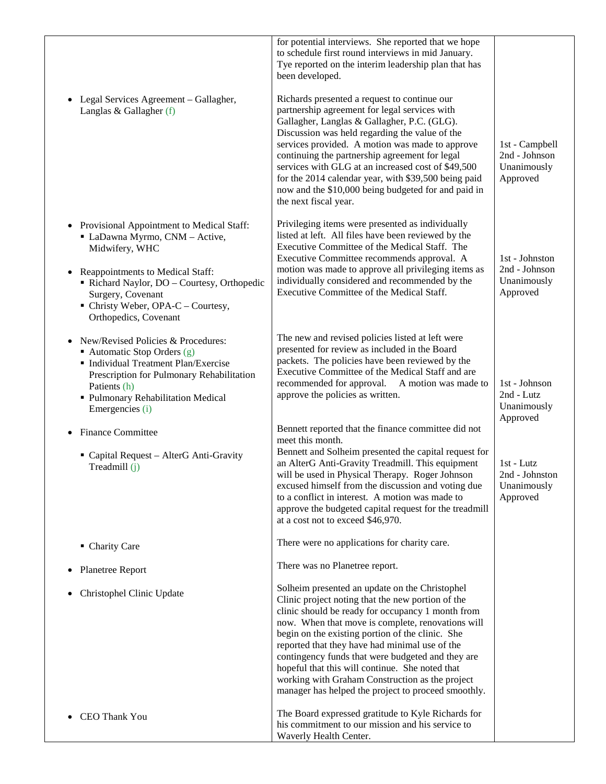|                                                                                                                                                                                                                                                                      | for potential interviews. She reported that we hope<br>to schedule first round interviews in mid January.<br>Tye reported on the interim leadership plan that has<br>been developed.                                                                                                                                                                                                                                                                                                                                                                                    |                                                            |
|----------------------------------------------------------------------------------------------------------------------------------------------------------------------------------------------------------------------------------------------------------------------|-------------------------------------------------------------------------------------------------------------------------------------------------------------------------------------------------------------------------------------------------------------------------------------------------------------------------------------------------------------------------------------------------------------------------------------------------------------------------------------------------------------------------------------------------------------------------|------------------------------------------------------------|
| Legal Services Agreement - Gallagher,<br>Langlas & Gallagher $(f)$                                                                                                                                                                                                   | Richards presented a request to continue our<br>partnership agreement for legal services with<br>Gallagher, Langlas & Gallagher, P.C. (GLG).<br>Discussion was held regarding the value of the<br>services provided. A motion was made to approve<br>continuing the partnership agreement for legal<br>services with GLG at an increased cost of \$49,500<br>for the 2014 calendar year, with \$39,500 being paid<br>now and the \$10,000 being budgeted for and paid in<br>the next fiscal year.                                                                       | 1st - Campbell<br>2nd - Johnson<br>Unanimously<br>Approved |
| • Provisional Appointment to Medical Staff:<br>• LaDawna Myrmo, CNM - Active,<br>Midwifery, WHC<br>Reappointments to Medical Staff:<br>Richard Naylor, DO - Courtesy, Orthopedic<br>Surgery, Covenant<br>• Christy Weber, OPA-C – Courtesy,<br>Orthopedics, Covenant | Privileging items were presented as individually<br>listed at left. All files have been reviewed by the<br>Executive Committee of the Medical Staff. The<br>Executive Committee recommends approval. A<br>motion was made to approve all privileging items as<br>individually considered and recommended by the<br>Executive Committee of the Medical Staff.                                                                                                                                                                                                            | 1st - Johnston<br>2nd - Johnson<br>Unanimously<br>Approved |
| New/Revised Policies & Procedures:<br>$\blacksquare$ Automatic Stop Orders (g)<br>• Individual Treatment Plan/Exercise<br>Prescription for Pulmonary Rehabilitation<br>Patients (h)<br>• Pulmonary Rehabilitation Medical<br>Emergencies (i)                         | The new and revised policies listed at left were<br>presented for review as included in the Board<br>packets. The policies have been reviewed by the<br>Executive Committee of the Medical Staff and are<br>recommended for approval. A motion was made to<br>approve the policies as written.                                                                                                                                                                                                                                                                          | 1st - Johnson<br>2nd - Lutz<br>Unanimously<br>Approved     |
| <b>Finance Committee</b><br>• Capital Request – AlterG Anti-Gravity<br>Treadmill (j)                                                                                                                                                                                 | Bennett reported that the finance committee did not<br>meet this month.<br>Bennett and Solheim presented the capital request for<br>an AlterG Anti-Gravity Treadmill. This equipment<br>will be used in Physical Therapy. Roger Johnson<br>excused himself from the discussion and voting due<br>to a conflict in interest. A motion was made to<br>approve the budgeted capital request for the treadmill<br>at a cost not to exceed \$46,970.                                                                                                                         | 1st - Lutz<br>2nd - Johnston<br>Unanimously<br>Approved    |
| • Charity Care                                                                                                                                                                                                                                                       | There were no applications for charity care.                                                                                                                                                                                                                                                                                                                                                                                                                                                                                                                            |                                                            |
| <b>Planetree Report</b><br>Christophel Clinic Update                                                                                                                                                                                                                 | There was no Planetree report.<br>Solheim presented an update on the Christophel<br>Clinic project noting that the new portion of the<br>clinic should be ready for occupancy 1 month from<br>now. When that move is complete, renovations will<br>begin on the existing portion of the clinic. She<br>reported that they have had minimal use of the<br>contingency funds that were budgeted and they are<br>hopeful that this will continue. She noted that<br>working with Graham Construction as the project<br>manager has helped the project to proceed smoothly. |                                                            |
| CEO Thank You                                                                                                                                                                                                                                                        | The Board expressed gratitude to Kyle Richards for<br>his commitment to our mission and his service to<br>Waverly Health Center.                                                                                                                                                                                                                                                                                                                                                                                                                                        |                                                            |